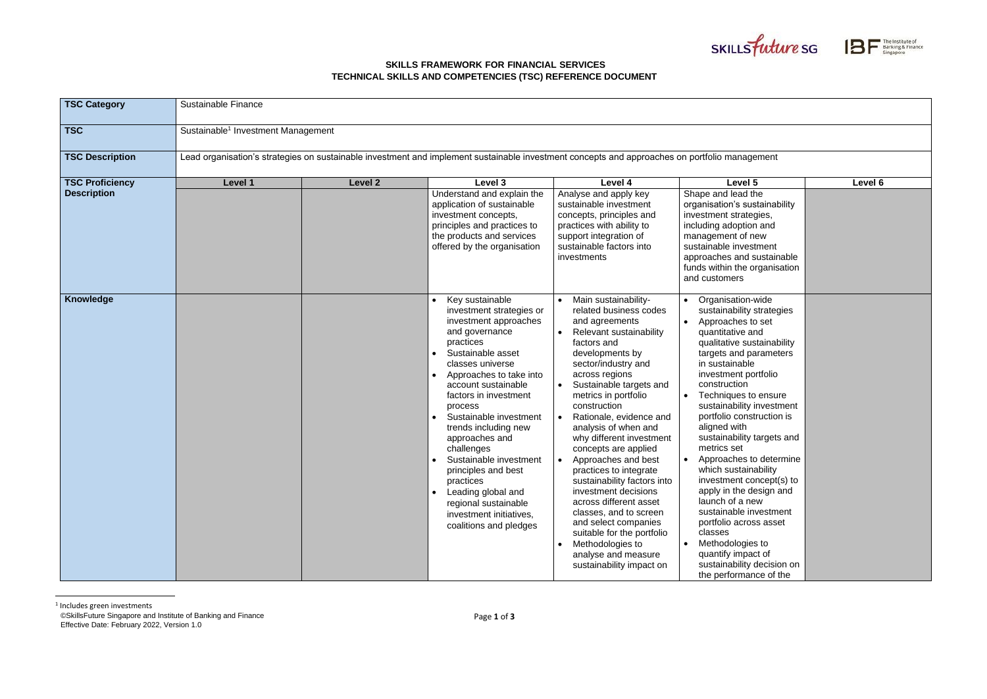©SkillsFuture Singapore and Institute of Banking and Finance Effective Date: February 2022, Version 1.0

## **SKILLS FRAMEWORK FOR FINANCIAL SERVICES TECHNICAL SKILLS AND COMPETENCIES (TSC) REFERENCE DOCUMENT**





| <b>TSC Category</b>                          | Sustainable Finance                                                                                                                           |         |                                                                                                                                                                                                                                                                                                                                                                                                                                                                                                    |                                                                                                                                                                                                                                                                                                                                                                                                                                                                                                                                                                                                                                           |                                                                                                                                                                                                                                                                                                                                                                                                                                                                                                                                                                                                                                                        |         |  |
|----------------------------------------------|-----------------------------------------------------------------------------------------------------------------------------------------------|---------|----------------------------------------------------------------------------------------------------------------------------------------------------------------------------------------------------------------------------------------------------------------------------------------------------------------------------------------------------------------------------------------------------------------------------------------------------------------------------------------------------|-------------------------------------------------------------------------------------------------------------------------------------------------------------------------------------------------------------------------------------------------------------------------------------------------------------------------------------------------------------------------------------------------------------------------------------------------------------------------------------------------------------------------------------------------------------------------------------------------------------------------------------------|--------------------------------------------------------------------------------------------------------------------------------------------------------------------------------------------------------------------------------------------------------------------------------------------------------------------------------------------------------------------------------------------------------------------------------------------------------------------------------------------------------------------------------------------------------------------------------------------------------------------------------------------------------|---------|--|
| <b>TSC</b>                                   | Sustainable <sup>1</sup> Investment Management                                                                                                |         |                                                                                                                                                                                                                                                                                                                                                                                                                                                                                                    |                                                                                                                                                                                                                                                                                                                                                                                                                                                                                                                                                                                                                                           |                                                                                                                                                                                                                                                                                                                                                                                                                                                                                                                                                                                                                                                        |         |  |
| <b>TSC Description</b>                       | Lead organisation's strategies on sustainable investment and implement sustainable investment concepts and approaches on portfolio management |         |                                                                                                                                                                                                                                                                                                                                                                                                                                                                                                    |                                                                                                                                                                                                                                                                                                                                                                                                                                                                                                                                                                                                                                           |                                                                                                                                                                                                                                                                                                                                                                                                                                                                                                                                                                                                                                                        |         |  |
| <b>TSC Proficiency</b><br><b>Description</b> | Level 1                                                                                                                                       | Level 2 | Level 3<br>Understand and explain the<br>application of sustainable<br>investment concepts,<br>principles and practices to<br>the products and services<br>offered by the organisation                                                                                                                                                                                                                                                                                                             | Level 4<br>Analyse and apply key<br>sustainable investment<br>concepts, principles and<br>practices with ability to<br>support integration of<br>sustainable factors into<br>investments                                                                                                                                                                                                                                                                                                                                                                                                                                                  | Level 5<br>Shape and lead the<br>organisation's sustainability<br>investment strategies,<br>including adoption and<br>management of new<br>sustainable investment<br>approaches and sustainable<br>funds within the organisation<br>and customers                                                                                                                                                                                                                                                                                                                                                                                                      | Level 6 |  |
| <b>Knowledge</b>                             |                                                                                                                                               |         | Key sustainable<br>investment strategies or<br>investment approaches<br>and governance<br>practices<br>Sustainable asset<br>classes universe<br>Approaches to take into<br>account sustainable<br>factors in investment<br>process<br>Sustainable investment<br>trends including new<br>approaches and<br>challenges<br>Sustainable investment<br>principles and best<br>practices<br>Leading global and<br>$\bullet$<br>regional sustainable<br>investment initiatives,<br>coalitions and pledges | Main sustainability-<br>related business codes<br>and agreements<br>Relevant sustainability<br>factors and<br>developments by<br>sector/industry and<br>across regions<br>Sustainable targets and<br>metrics in portfolio<br>construction<br>Rationale, evidence and<br>analysis of when and<br>why different investment<br>concepts are applied<br>Approaches and best<br>practices to integrate<br>sustainability factors into<br>investment decisions<br>across different asset<br>classes, and to screen<br>and select companies<br>suitable for the portfolio<br>Methodologies to<br>analyse and measure<br>sustainability impact on | Organisation-wide<br>sustainability strategies<br>Approaches to set<br>quantitative and<br>qualitative sustainability<br>targets and parameters<br>in sustainable<br>investment portfolio<br>construction<br>Techniques to ensure<br>sustainability investment<br>portfolio construction is<br>aligned with<br>sustainability targets and<br>metrics set<br>Approaches to determine<br>which sustainability<br>investment concept(s) to<br>apply in the design and<br>launch of a new<br>sustainable investment<br>portfolio across asset<br>classes<br>Methodologies to<br>quantify impact of<br>sustainability decision on<br>the performance of the |         |  |

<sup>1</sup> Includes green investments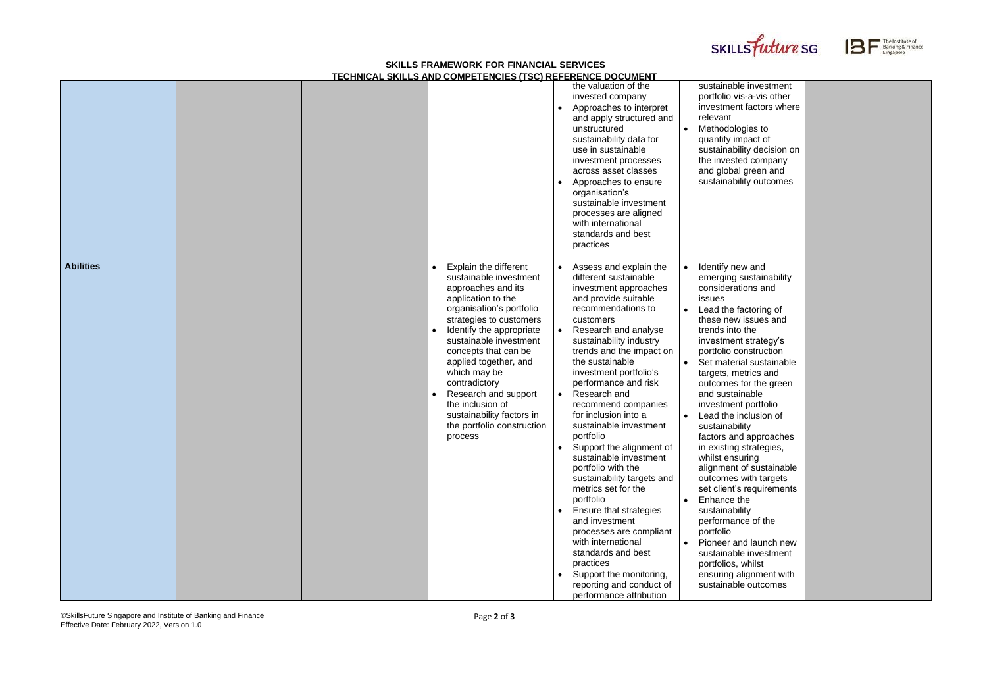©SkillsFuture Singapore and Institute of Banking and Finance Effective Date: February 2022, Version 1.0

## **SKILLS FRAMEWORK FOR FINANCIAL SERVICES TECHNICAL SKILLS AND COMPETENCIES (TSC) REFERENCE DOCUMENT**





|                  |  |                                          |                                                                                                                                                                                                                                                                                                                                                                         | $\bullet$<br>$\bullet$              | the valuation of the<br>invested company<br>Approaches to interpret<br>and apply structured and<br>unstructured<br>sustainability data for<br>use in sustainable<br>investment processes<br>across asset classes<br>Approaches to ensure<br>organisation's<br>sustainable investment<br>processes are aligned<br>with international<br>standards and best<br>practices                                                                                                                                                                                                                                                                                                                                                                                        | $\bullet$              | sustainable investment<br>portfolio vis-a-vis other<br>investment factors where<br>relevant<br>Methodologies to<br>quantify impact of<br>sustainability decision on<br>the invested company<br>and global green and<br>sustainability outcomes                                                                                                                                                                                                                                                                                                                                                                                                                                                                                    |
|------------------|--|------------------------------------------|-------------------------------------------------------------------------------------------------------------------------------------------------------------------------------------------------------------------------------------------------------------------------------------------------------------------------------------------------------------------------|-------------------------------------|---------------------------------------------------------------------------------------------------------------------------------------------------------------------------------------------------------------------------------------------------------------------------------------------------------------------------------------------------------------------------------------------------------------------------------------------------------------------------------------------------------------------------------------------------------------------------------------------------------------------------------------------------------------------------------------------------------------------------------------------------------------|------------------------|-----------------------------------------------------------------------------------------------------------------------------------------------------------------------------------------------------------------------------------------------------------------------------------------------------------------------------------------------------------------------------------------------------------------------------------------------------------------------------------------------------------------------------------------------------------------------------------------------------------------------------------------------------------------------------------------------------------------------------------|
| <b>Abilities</b> |  | which may be<br>contradictory<br>process | <b>Explain the different</b><br>sustainable investment<br>approaches and its<br>application to the<br>organisation's portfolio<br>strategies to customers<br>Identify the appropriate<br>sustainable investment<br>concepts that can be<br>applied together, and<br>Research and support<br>the inclusion of<br>sustainability factors in<br>the portfolio construction | $\bullet$<br>$\bullet$<br>$\bullet$ | Assess and explain the<br>different sustainable<br>investment approaches<br>and provide suitable<br>recommendations to<br>customers<br>Research and analyse<br>sustainability industry<br>trends and the impact on<br>the sustainable<br>investment portfolio's<br>performance and risk<br>Research and<br>recommend companies<br>for inclusion into a<br>sustainable investment<br>portfolio<br>Support the alignment of<br>sustainable investment<br>portfolio with the<br>sustainability targets and<br>metrics set for the<br>portfolio<br>Ensure that strategies<br>and investment<br>processes are compliant<br>with international<br>standards and best<br>practices<br>Support the monitoring,<br>reporting and conduct of<br>performance attribution | $\bullet$<br>$\bullet$ | Identify new and<br>emerging sustainability<br>considerations and<br>issues<br>Lead the factoring of<br>these new issues and<br>trends into the<br>investment strategy's<br>portfolio construction<br>Set material sustainable<br>targets, metrics and<br>outcomes for the green<br>and sustainable<br>investment portfolio<br>Lead the inclusion of<br>sustainability<br>factors and approaches<br>in existing strategies,<br>whilst ensuring<br>alignment of sustainable<br>outcomes with targets<br>set client's requirements<br>Enhance the<br>sustainability<br>performance of the<br>portfolio<br>Pioneer and launch new<br>sustainable investment<br>portfolios, whilst<br>ensuring alignment with<br>sustainable outcomes |

| sustainable investment<br>portfolio vis-a-vis other<br>investment factors where<br>relevant<br>Methodologies to<br>quantify impact of<br>sustainability decision on<br>the invested company<br>and global green and<br>sustainability outcomes                                                                                                                                                                                                                                                                                                                                                                                                                                                                                    |  |
|-----------------------------------------------------------------------------------------------------------------------------------------------------------------------------------------------------------------------------------------------------------------------------------------------------------------------------------------------------------------------------------------------------------------------------------------------------------------------------------------------------------------------------------------------------------------------------------------------------------------------------------------------------------------------------------------------------------------------------------|--|
| Identify new and<br>emerging sustainability<br>considerations and<br>issues<br>Lead the factoring of<br>these new issues and<br>trends into the<br>investment strategy's<br>portfolio construction<br>Set material sustainable<br>targets, metrics and<br>outcomes for the green<br>and sustainable<br>investment portfolio<br>Lead the inclusion of<br>sustainability<br>factors and approaches<br>in existing strategies,<br>whilst ensuring<br>alignment of sustainable<br>outcomes with targets<br>set client's requirements<br>Enhance the<br>sustainability<br>performance of the<br>portfolio<br>Pioneer and launch new<br>sustainable investment<br>portfolios, whilst<br>ensuring alignment with<br>sustainable outcomes |  |